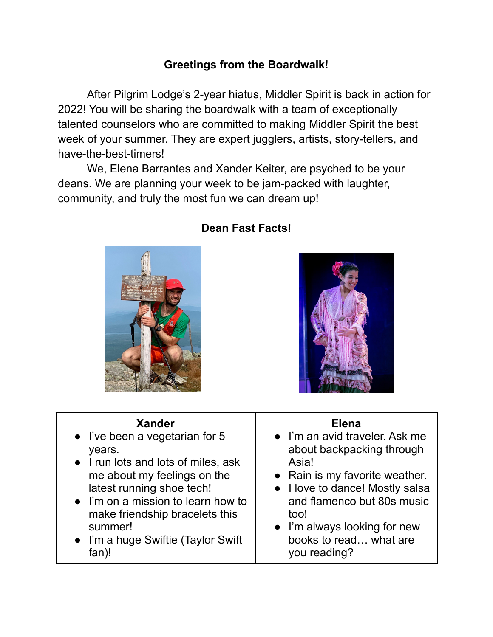## **Greetings from the Boardwalk!**

After Pilgrim Lodge's 2-year hiatus, Middler Spirit is back in action for 2022! You will be sharing the boardwalk with a team of exceptionally talented counselors who are committed to making Middler Spirit the best week of your summer. They are expert jugglers, artists, story-tellers, and have-the-best-timers!

We, Elena Barrantes and Xander Keiter, are psyched to be your deans. We are planning your week to be jam-packed with laughter, community, and truly the most fun we can dream up!



# **Dean Fast Facts!**



#### **Xander**

- I've been a vegetarian for 5 years.
- I run lots and lots of miles, ask me about my feelings on the latest running shoe tech!
- I'm on a mission to learn how to make friendship bracelets this summer!
- I'm a huge Swiftie (Taylor Swift fan)!

#### **Elena**

- I'm an avid traveler. Ask me about backpacking through Asia!
- Rain is my favorite weather.
- I love to dance! Mostly salsa and flamenco but 80s music too!
- I'm always looking for new books to read… what are you reading?